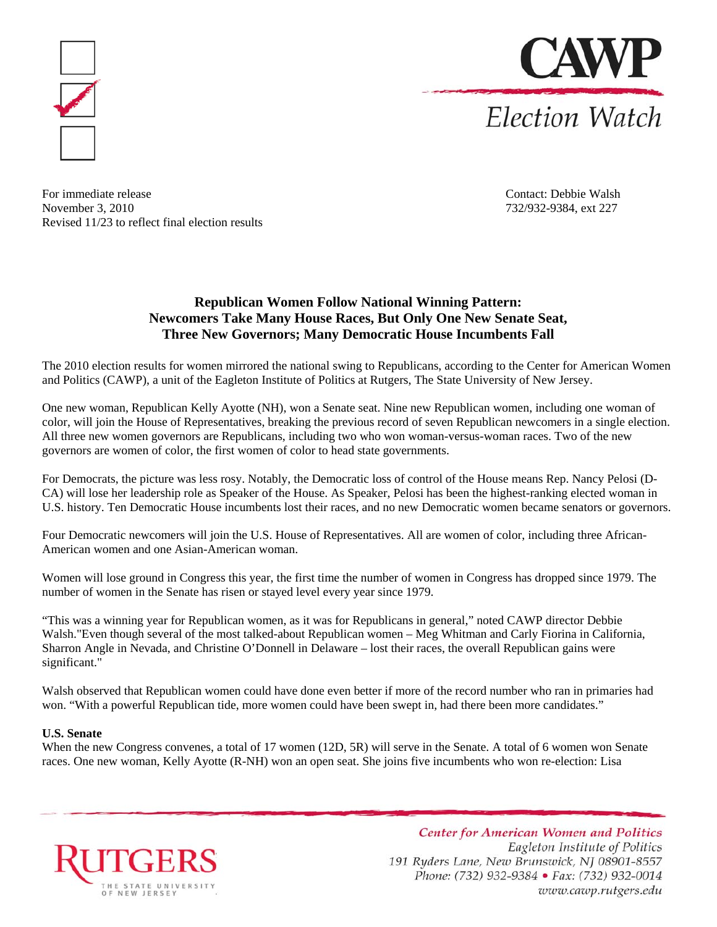



For immediate release Contact: Debbie Walsh November 3, 2010 732/932-9384, ext 227 Revised 11/23 to reflect final election results

# **Republican Women Follow National Winning Pattern: Newcomers Take Many House Races, But Only One New Senate Seat, Three New Governors; Many Democratic House Incumbents Fall**

The 2010 election results for women mirrored the national swing to Republicans, according to the Center for American Women and Politics (CAWP), a unit of the Eagleton Institute of Politics at Rutgers, The State University of New Jersey.

One new woman, Republican Kelly Ayotte (NH), won a Senate seat. Nine new Republican women, including one woman of color, will join the House of Representatives, breaking the previous record of seven Republican newcomers in a single election. All three new women governors are Republicans, including two who won woman-versus-woman races. Two of the new governors are women of color, the first women of color to head state governments.

For Democrats, the picture was less rosy. Notably, the Democratic loss of control of the House means Rep. Nancy Pelosi (D-CA) will lose her leadership role as Speaker of the House. As Speaker, Pelosi has been the highest-ranking elected woman in U.S. history. Ten Democratic House incumbents lost their races, and no new Democratic women became senators or governors.

Four Democratic newcomers will join the U.S. House of Representatives. All are women of color, including three African-American women and one Asian-American woman.

Women will lose ground in Congress this year, the first time the number of women in Congress has dropped since 1979. The number of women in the Senate has risen or stayed level every year since 1979.

"This was a winning year for Republican women, as it was for Republicans in general," noted CAWP director Debbie Walsh."Even though several of the most talked-about Republican women – Meg Whitman and Carly Fiorina in California, Sharron Angle in Nevada, and Christine O'Donnell in Delaware – lost their races, the overall Republican gains were significant."

Walsh observed that Republican women could have done even better if more of the record number who ran in primaries had won. "With a powerful Republican tide, more women could have been swept in, had there been more candidates."

## **U.S. Senate**

When the new Congress convenes, a total of 17 women (12D, 5R) will serve in the Senate. A total of 6 women won Senate races. One new woman, Kelly Ayotte (R-NH) won an open seat. She joins five incumbents who won re-election: Lisa



**Center for American Women and Politics** Eagleton Institute of Politics 191 Ryders Lane, New Brunswick, NJ 08901-8557 Phone: (732) 932-9384 · Fax: (732) 932-0014 www.cawp.rutgers.edu